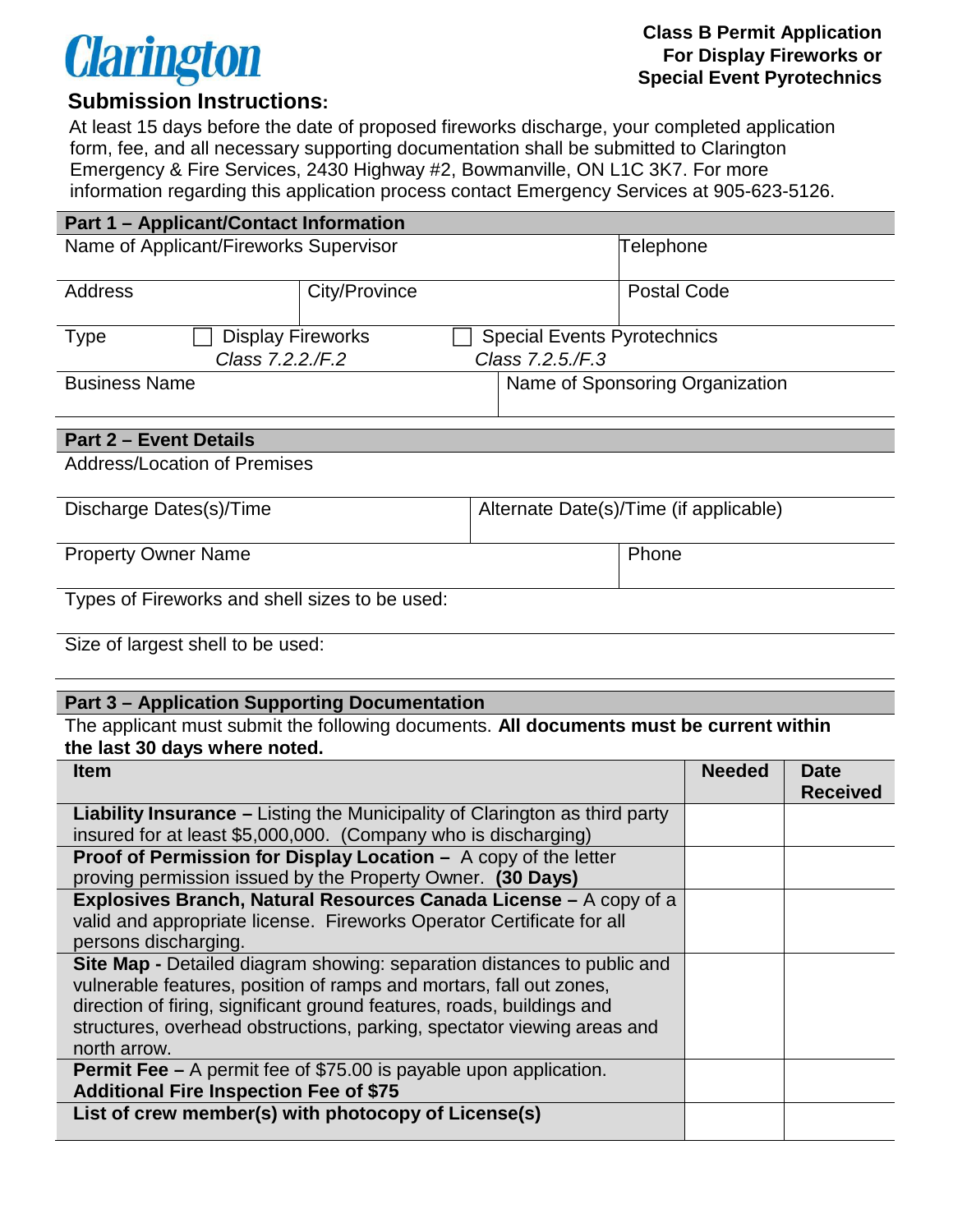# **Clarington**

#### **Class B Permit Application For Display Fireworks or Special Event Pyrotechnics**

## **Submission Instructions:**

At least 15 days before the date of proposed fireworks discharge, your completed application form, fee, and all necessary supporting documentation shall be submitted to Clarington Emergency & Fire Services, 2430 Highway #2, Bowmanville, ON L1C 3K7. For more information regarding this application process contact Emergency Services at 905-623-5126.

| <b>Part 1 - Applicant/Contact Information</b> |               |                                    |           |                    |  |
|-----------------------------------------------|---------------|------------------------------------|-----------|--------------------|--|
| Name of Applicant/Fireworks Supervisor        |               |                                    | Telephone |                    |  |
|                                               |               |                                    |           |                    |  |
| Address                                       | City/Province |                                    |           | <b>Postal Code</b> |  |
|                                               |               |                                    |           |                    |  |
| <b>Display Fireworks</b><br>Type              |               | <b>Special Events Pyrotechnics</b> |           |                    |  |
| Class 7.2.2./F.2<br>Class 7.2.5./F.3          |               |                                    |           |                    |  |
| <b>Business Name</b>                          |               | Name of Sponsoring Organization    |           |                    |  |
|                                               |               |                                    |           |                    |  |

#### **Part 2 – Event Details**

Address/Location of Premises

| Discharge Dates(s)/Time                        | Alternate Date(s)/Time (if applicable) |  |  |
|------------------------------------------------|----------------------------------------|--|--|
| <b>Property Owner Name</b>                     | Phone                                  |  |  |
|                                                |                                        |  |  |
| Types of Fireworks and shell sizes to be used: |                                        |  |  |

Size of largest shell to be used:

#### **Part 3 – Application Supporting Documentation**

The applicant must submit the following documents. **All documents must be current within the last 30 days where noted.** 

| <b>Item</b>                                                                        | <b>Needed</b> | <b>Date</b>     |
|------------------------------------------------------------------------------------|---------------|-----------------|
|                                                                                    |               | <b>Received</b> |
| <b>Liability Insurance</b> – Listing the Municipality of Clarington as third party |               |                 |
| insured for at least \$5,000,000. (Company who is discharging)                     |               |                 |
| <b>Proof of Permission for Display Location -</b> A copy of the letter             |               |                 |
| proving permission issued by the Property Owner. (30 Days)                         |               |                 |
| Explosives Branch, Natural Resources Canada License – A copy of a                  |               |                 |
| valid and appropriate license. Fireworks Operator Certificate for all              |               |                 |
| persons discharging.                                                               |               |                 |
| Site Map - Detailed diagram showing: separation distances to public and            |               |                 |
| vulnerable features, position of ramps and mortars, fall out zones,                |               |                 |
| direction of firing, significant ground features, roads, buildings and             |               |                 |
| structures, overhead obstructions, parking, spectator viewing areas and            |               |                 |
| north arrow.                                                                       |               |                 |
| <b>Permit Fee –</b> A permit fee of \$75.00 is payable upon application.           |               |                 |
| <b>Additional Fire Inspection Fee of \$75</b>                                      |               |                 |
| List of crew member(s) with photocopy of License(s)                                |               |                 |
|                                                                                    |               |                 |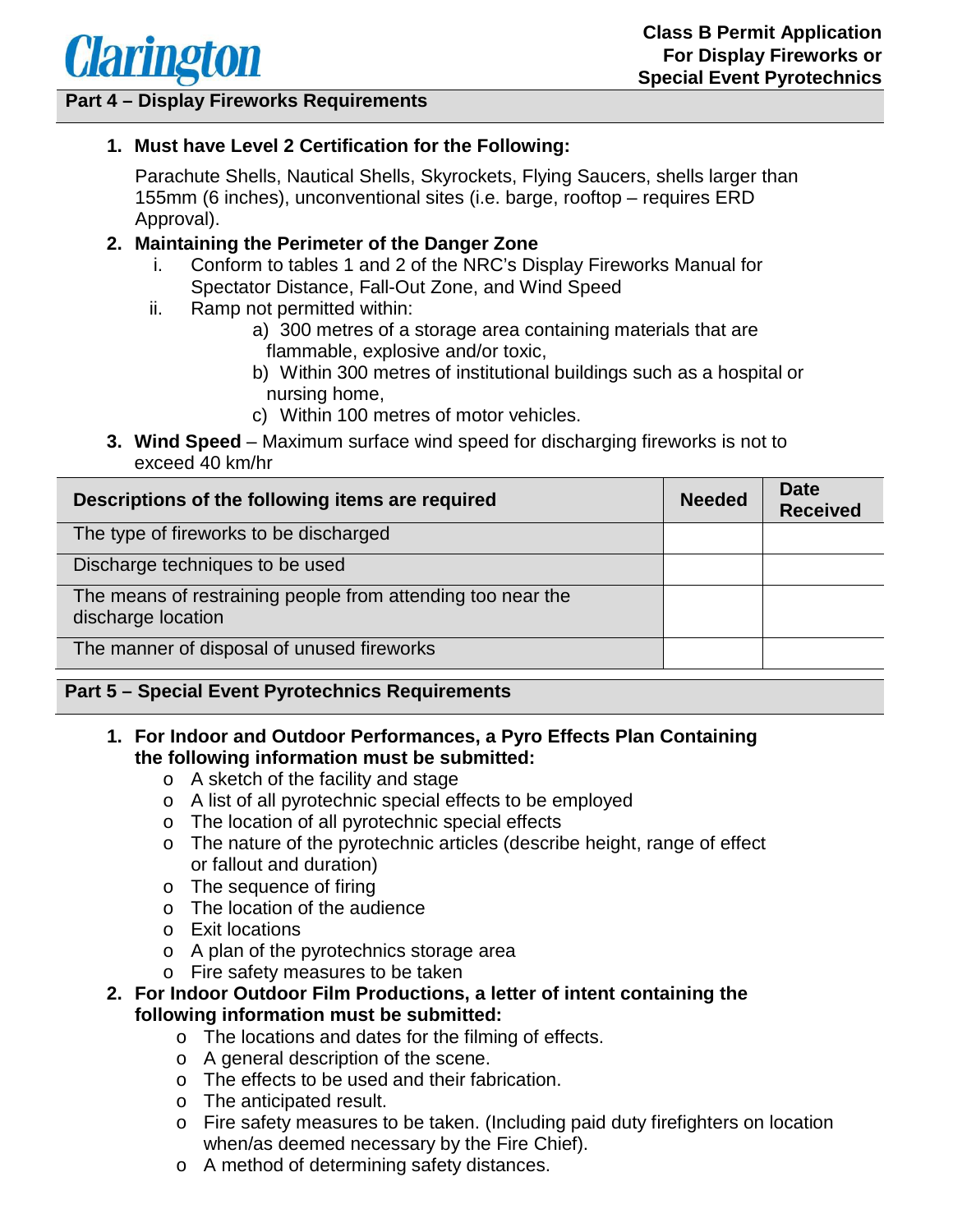

#### **Part 4 – Display Fireworks Requirements**

#### **1. Must have Level 2 Certification for the Following:**

Parachute Shells, Nautical Shells, Skyrockets, Flying Saucers, shells larger than 155mm (6 inches), unconventional sites (i.e. barge, rooftop – requires ERD Approval).

#### **2. Maintaining the Perimeter of the Danger Zone**

- i. Conform to tables 1 and 2 of the NRC's Display Fireworks Manual for Spectator Distance, Fall-Out Zone, and Wind Speed
- ii. Ramp not permitted within:
	- a) 300 metres of a storage area containing materials that are flammable, explosive and/or toxic,
	- b) Within 300 metres of institutional buildings such as a hospital or nursing home,
	- c) Within 100 metres of motor vehicles.
- **3. Wind Speed**  Maximum surface wind speed for discharging fireworks is not to exceed 40 km/hr

| Descriptions of the following items are required                                  |  | <b>Date</b><br><b>Received</b> |
|-----------------------------------------------------------------------------------|--|--------------------------------|
| The type of fireworks to be discharged                                            |  |                                |
| Discharge techniques to be used                                                   |  |                                |
| The means of restraining people from attending too near the<br>discharge location |  |                                |
| The manner of disposal of unused fireworks                                        |  |                                |
|                                                                                   |  |                                |

## **Part 5 – Special Event Pyrotechnics Requirements**

- **1. For Indoor and Outdoor Performances, a Pyro Effects Plan Containing the following information must be submitted:** 
	- o A sketch of the facility and stage
	- o A list of all pyrotechnic special effects to be employed
	- o The location of all pyrotechnic special effects
	- o The nature of the pyrotechnic articles (describe height, range of effect or fallout and duration)
	- o The sequence of firing
	- o The location of the audience
	- o Exit locations
	- o A plan of the pyrotechnics storage area
	- o Fire safety measures to be taken
- **2. For Indoor Outdoor Film Productions, a letter of intent containing the following information must be submitted:** 
	- o The locations and dates for the filming of effects.
	- o A general description of the scene.
	- o The effects to be used and their fabrication.
	- o The anticipated result.
	- o Fire safety measures to be taken. (Including paid duty firefighters on location when/as deemed necessary by the Fire Chief).
	- o A method of determining safety distances.